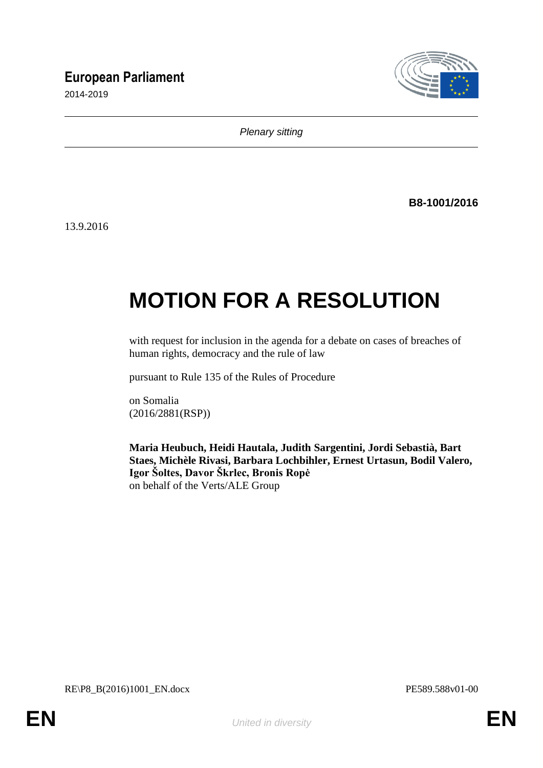# **European Parliament**

2014-2019



*Plenary sitting*

**B8-1001/2016**

13.9.2016

# **MOTION FOR A RESOLUTION**

with request for inclusion in the agenda for a debate on cases of breaches of human rights, democracy and the rule of law

pursuant to Rule 135 of the Rules of Procedure

on Somalia (2016/2881(RSP))

**Maria Heubuch, Heidi Hautala, Judith Sargentini, Jordi Sebastià, Bart Staes, Michèle Rivasi, Barbara Lochbihler, Ernest Urtasun, Bodil Valero, Igor Šoltes, Davor Škrlec, Bronis Ropė** on behalf of the Verts/ALE Group

RE\P8\_B(2016)1001\_EN.docx PE589.588v01-00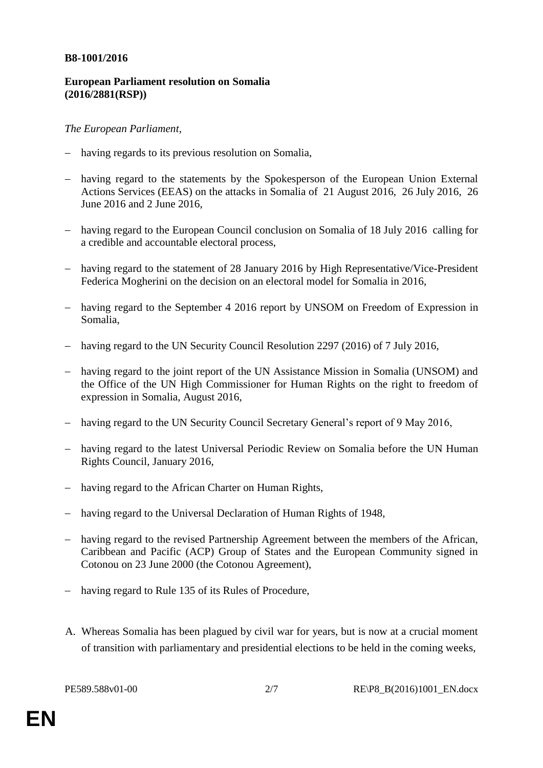#### **B8-1001/2016**

## **European Parliament resolution on Somalia (2016/2881(RSP))**

## *The European Parliament*,

- having regards to its previous resolution on Somalia,
- having regard to the statements by the Spokesperson of the European Union External Actions Services (EEAS) on the attacks in Somalia of 21 August 2016, 26 July 2016, 26 June 2016 and 2 June 2016,
- having regard to the European Council conclusion on Somalia of 18 July 2016 calling for a credible and accountable electoral process,
- having regard to the statement of 28 January 2016 by High Representative/Vice-President Federica Mogherini on the decision on an electoral model for Somalia in 2016,
- having regard to the September 4 2016 report by UNSOM on Freedom of Expression in Somalia,
- having regard to the UN Security Council Resolution 2297 (2016) of 7 July 2016,
- having regard to the joint report of the UN Assistance Mission in Somalia (UNSOM) and the Office of the UN High Commissioner for Human Rights on the right to freedom of expression in Somalia, August 2016,
- having regard to the UN Security Council Secretary General's report of 9 May 2016,
- having regard to the latest Universal Periodic Review on Somalia before the UN Human Rights Council, January 2016,
- having regard to the African Charter on Human Rights,
- having regard to the Universal Declaration of Human Rights of 1948,
- having regard to the revised Partnership Agreement between the members of the African, Caribbean and Pacific (ACP) Group of States and the European Community signed in Cotonou on 23 June 2000 (the Cotonou Agreement),
- having regard to Rule 135 of its Rules of Procedure,
- A. Whereas Somalia has been plagued by civil war for years, but is now at a crucial moment of transition with parliamentary and presidential elections to be held in the coming weeks,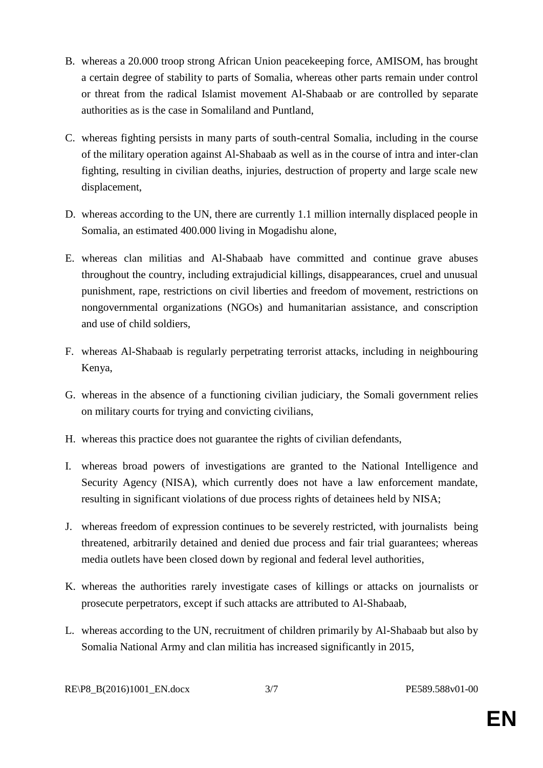- B. whereas a 20.000 troop strong African Union peacekeeping force, AMISOM, has brought a certain degree of stability to parts of Somalia, whereas other parts remain under control or threat from the radical Islamist movement Al-Shabaab or are controlled by separate authorities as is the case in Somaliland and Puntland,
- C. whereas fighting persists in many parts of south-central Somalia, including in the course of the military operation against Al-Shabaab as well as in the course of intra and inter-clan fighting, resulting in civilian deaths, injuries, destruction of property and large scale new displacement,
- D. whereas according to the UN, there are currently 1.1 million internally displaced people in Somalia, an estimated 400.000 living in Mogadishu alone,
- E. whereas clan militias and Al-Shabaab have committed and continue grave abuses throughout the country, including extrajudicial killings, disappearances, cruel and unusual punishment, rape, restrictions on civil liberties and freedom of movement, restrictions on nongovernmental organizations (NGOs) and humanitarian assistance, and conscription and use of child soldiers,
- F. whereas Al-Shabaab is regularly perpetrating terrorist attacks, including in neighbouring Kenya,
- G. whereas in the absence of a functioning civilian judiciary, the Somali government relies on military courts for trying and convicting civilians,
- H. whereas this practice does not guarantee the rights of civilian defendants,
- I. whereas broad powers of investigations are granted to the National Intelligence and Security Agency (NISA), which currently does not have a law enforcement mandate, resulting in significant violations of due process rights of detainees held by NISA;
- J. whereas freedom of expression continues to be severely restricted, with journalists being threatened, arbitrarily detained and denied due process and fair trial guarantees; whereas media outlets have been closed down by regional and federal level authorities,
- K. whereas the authorities rarely investigate cases of killings or attacks on journalists or prosecute perpetrators, except if such attacks are attributed to Al-Shabaab,
- L. whereas according to the UN, recruitment of children primarily by Al-Shabaab but also by Somalia National Army and clan militia has increased significantly in 2015,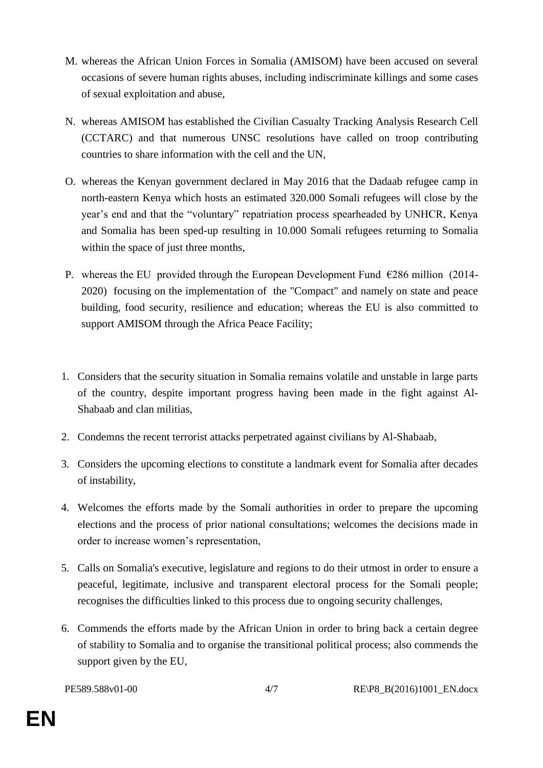- M. whereas the African Union Forces in Somalia (AMISOM) have been accused on several occasions of severe human rights abuses, including indiscriminate killings and some cases of sexual exploitation and abuse,
- N. whereas AMISOM has established the Civilian Casualty Tracking Analysis Research Cell (CCTARC) and that numerous UNSC resolutions have called on troop contributing countries to share information with the cell and the UN,
- O. whereas the Kenyan government declared in May 2016 that the Dadaab refugee camp in north-eastern Kenya which hosts an estimated 320.000 Somali refugees will close by the year's end and that the "voluntary" repatriation process spearheaded by UNHCR, Kenya and Somalia has been sped-up resulting in 10.000 Somali refugees returning to Somalia within the space of just three months,
- P. whereas the EU provided through the European Development Fund  $\epsilon$ 286 million (2014-2020) focusing on the implementation of the "Compact" and namely on state and peace building, food security, resilience and education; whereas the EU is also committed to support AMISOM through the Africa Peace Facility;
- 1. Considers that the security situation in Somalia remains volatile and unstable in large parts of the country, despite important progress having been made in the fight against Al-Shabaab and clan militias,
- 2. Condemns the recent terrorist attacks perpetrated against civilians by Al-Shabaab,
- 3. Considers the upcoming elections to constitute a landmark event for Somalia after decades of instability,
- 4. Welcomes the efforts made by the Somali authorities in order to prepare the upcoming elections and the process of prior national consultations; welcomes the decisions made in order to increase women's representation,
- 5. Calls on Somalia's executive, legislature and regions to do their utmost in order to ensure a peaceful, legitimate, inclusive and transparent electoral process for the Somali people; recognises the difficulties linked to this process due to ongoing security challenges,
- 6. Commends the efforts made by the African Union in order to bring back a certain degree of stability to Somalia and to organise the transitional political process; also commends the support given by the EU,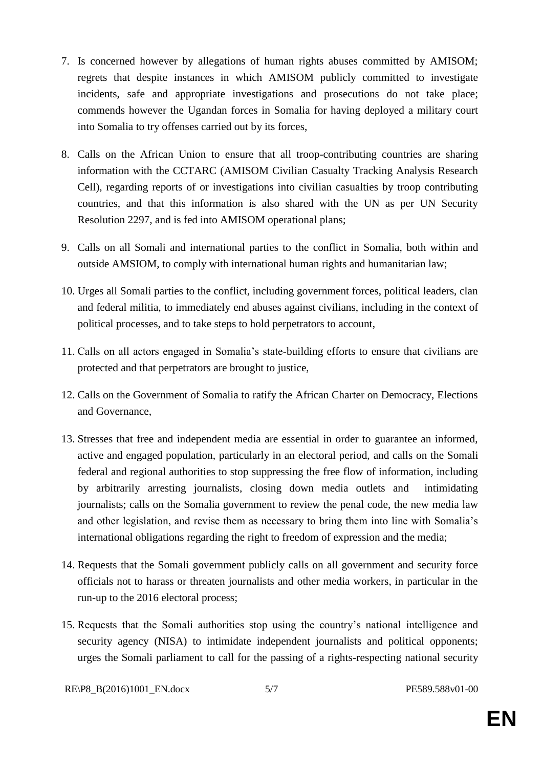- 7. Is concerned however by allegations of human rights abuses committed by AMISOM; regrets that despite instances in which AMISOM publicly committed to investigate incidents, safe and appropriate investigations and prosecutions do not take place; commends however the Ugandan forces in Somalia for having deployed a military court into Somalia to try offenses carried out by its forces,
- 8. Calls on the African Union to ensure that all troop-contributing countries are sharing information with the CCTARC (AMISOM Civilian Casualty Tracking Analysis Research Cell), regarding reports of or investigations into civilian casualties by troop contributing countries, and that this information is also shared with the UN as per UN Security Resolution 2297, and is fed into AMISOM operational plans;
- 9. Calls on all Somali and international parties to the conflict in Somalia, both within and outside AMSIOM, to comply with international human rights and humanitarian law;
- 10. Urges all Somali parties to the conflict, including government forces, political leaders, clan and federal militia, to immediately end abuses against civilians, including in the context of political processes, and to take steps to hold perpetrators to account,
- 11. Calls on all actors engaged in Somalia's state-building efforts to ensure that civilians are protected and that perpetrators are brought to justice,
- 12. Calls on the Government of Somalia to ratify the African Charter on Democracy, Elections and Governance,
- 13. Stresses that free and independent media are essential in order to guarantee an informed, active and engaged population, particularly in an electoral period, and calls on the Somali federal and regional authorities to stop suppressing the free flow of information, including by arbitrarily arresting journalists, closing down media outlets and intimidating journalists; calls on the Somalia government to review the penal code, the new media law and other legislation, and revise them as necessary to bring them into line with Somalia's international obligations regarding the right to freedom of expression and the media;
- 14. Requests that the Somali government publicly calls on all government and security force officials not to harass or threaten journalists and other media workers, in particular in the run-up to the 2016 electoral process;
- 15. Requests that the Somali authorities stop using the country's national intelligence and security agency (NISA) to intimidate independent journalists and political opponents; urges the Somali parliament to call for the passing of a rights-respecting national security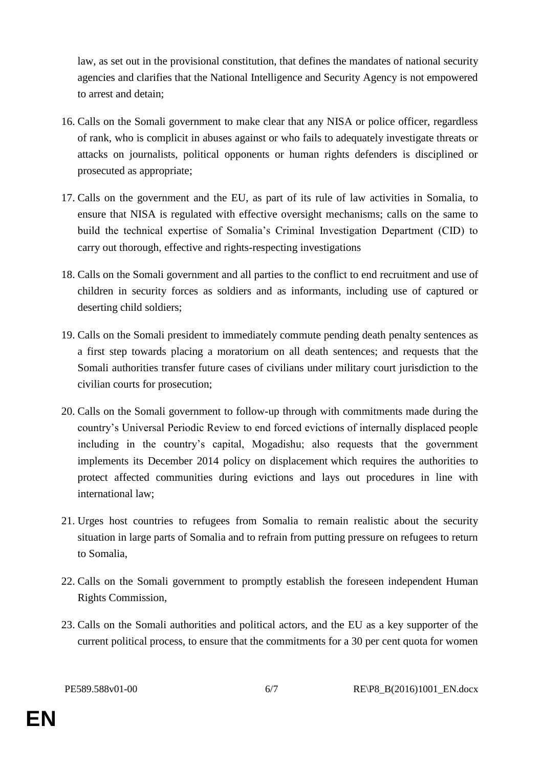law, as set out in the provisional constitution, that defines the mandates of national security agencies and clarifies that the National Intelligence and Security Agency is not empowered to arrest and detain;

- 16. Calls on the Somali government to make clear that any NISA or police officer, regardless of rank, who is complicit in abuses against or who fails to adequately investigate threats or attacks on journalists, political opponents or human rights defenders is disciplined or prosecuted as appropriate;
- 17. Calls on the government and the EU, as part of its rule of law activities in Somalia, to ensure that NISA is regulated with effective oversight mechanisms; calls on the same to build the technical expertise of Somalia's Criminal Investigation Department (CID) to carry out thorough, effective and rights-respecting investigations
- 18. Calls on the Somali government and all parties to the conflict to end recruitment and use of children in security forces as soldiers and as informants, including use of captured or deserting child soldiers;
- 19. Calls on the Somali president to immediately commute pending death penalty sentences as a first step towards placing a moratorium on all death sentences; and requests that the Somali authorities transfer future cases of civilians under military court jurisdiction to the civilian courts for prosecution;
- 20. Calls on the Somali government to follow-up through with commitments made during the country's Universal Periodic Review to end forced evictions of internally displaced people including in the country's capital, Mogadishu; also requests that the government implements its December 2014 policy on displacement which requires the authorities to protect affected communities during evictions and lays out procedures in line with international law;
- 21. Urges host countries to refugees from Somalia to remain realistic about the security situation in large parts of Somalia and to refrain from putting pressure on refugees to return to Somalia,
- 22. Calls on the Somali government to promptly establish the foreseen independent Human Rights Commission,
- 23. Calls on the Somali authorities and political actors, and the EU as a key supporter of the current political process, to ensure that the commitments for a 30 per cent quota for women